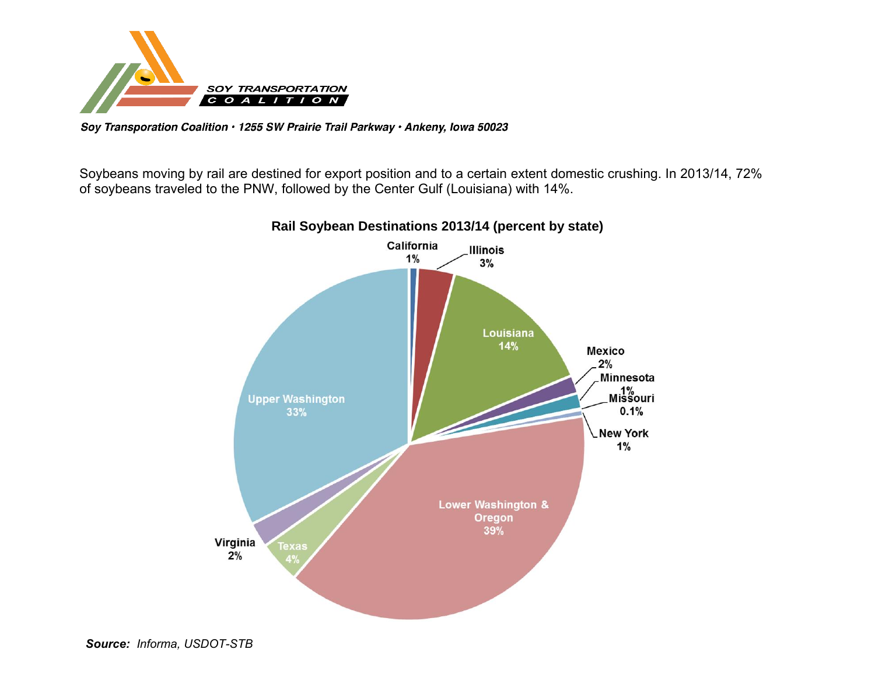

Soy Transporation Coalition · 1255 SW Prairie Trail Parkway · Ankeny, Iowa 50023

Soybeans moving by rail are destined for export position and to a certain extent domestic crushing. In 2013/14, 72% of soybeans traveled to the PNW, followed by the Center Gulf (Louisiana) with 14%.



**Rail Soybean Destinations 2013/14 (percent by state)**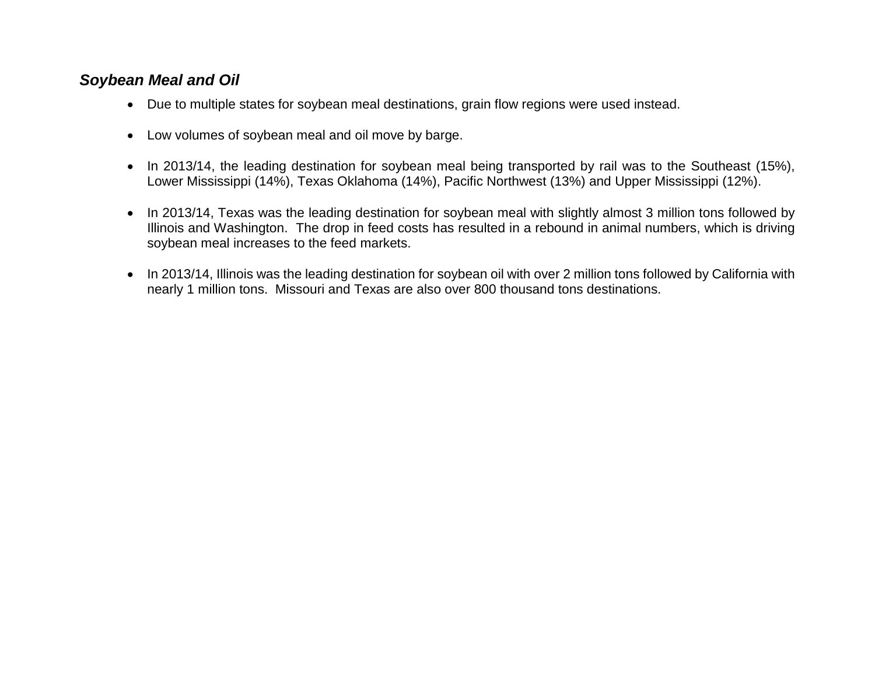## *Soybean Meal and Oil*

- Due to multiple states for soybean meal destinations, grain flow regions were used instead.
- Low volumes of soybean meal and oil move by barge.
- In 2013/14, the leading destination for soybean meal being transported by rail was to the Southeast (15%), Lower Mississippi (14%), Texas Oklahoma (14%), Pacific Northwest (13%) and Upper Mississippi (12%).
- In 2013/14, Texas was the leading destination for soybean meal with slightly almost 3 million tons followed by Illinois and Washington. The drop in feed costs has resulted in a rebound in animal numbers, which is driving soybean meal increases to the feed markets.
- In 2013/14, Illinois was the leading destination for soybean oil with over 2 million tons followed by California with nearly 1 million tons. Missouri and Texas are also over 800 thousand tons destinations.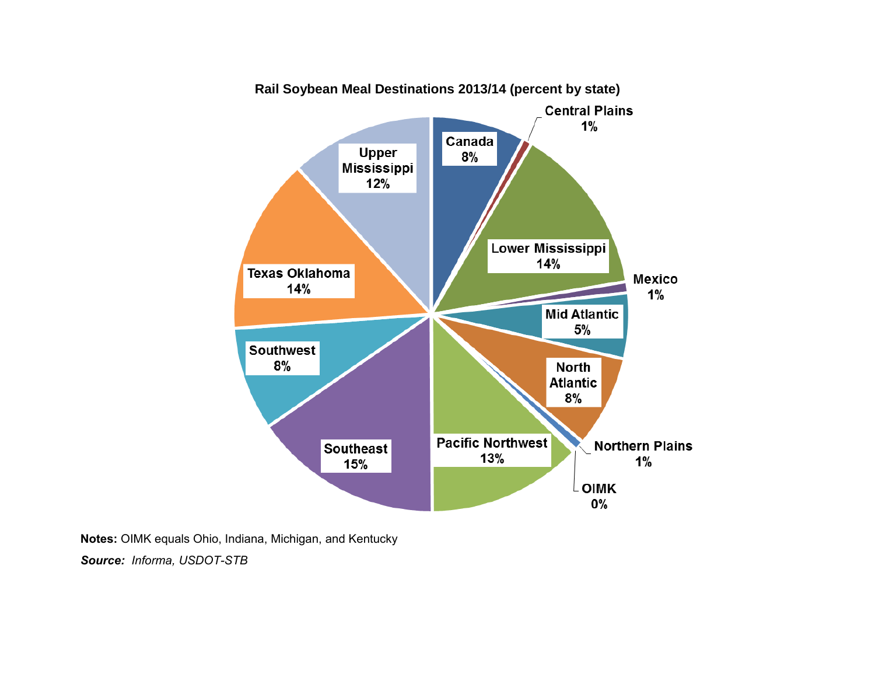

**Notes:** OIMK equals Ohio, Indiana, Michigan, and Kentucky

*Source: Informa, USDOT-STB*